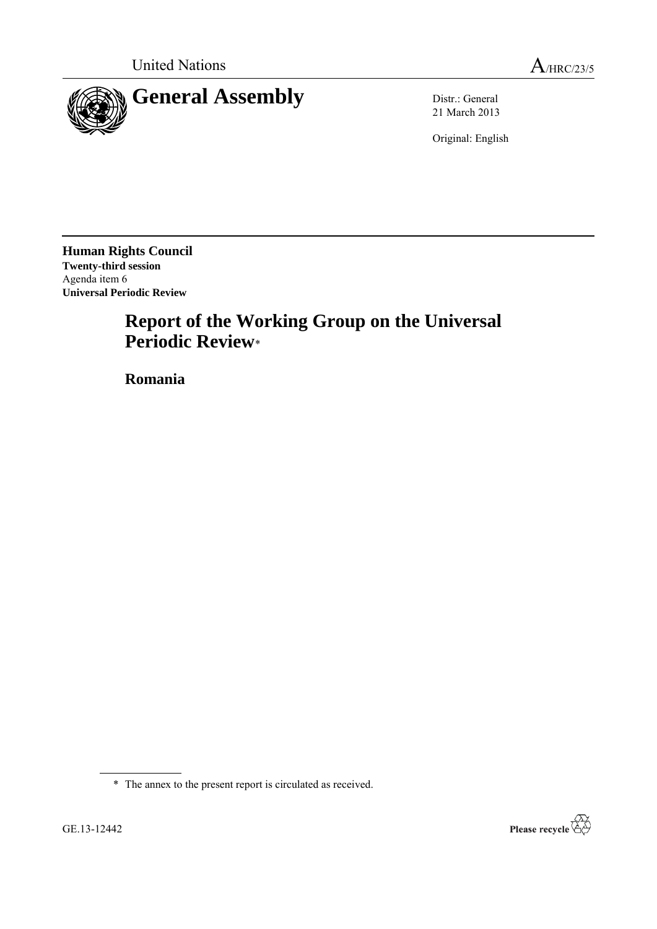

21 March 2013

Original: English

**Human Rights Council Twenty-third session** Agenda item 6 **Universal Periodic Review**

# **Report of the Working Group on the Universal Periodic Review**\*

**Romania**



<sup>\*</sup> The annex to the present report is circulated as received.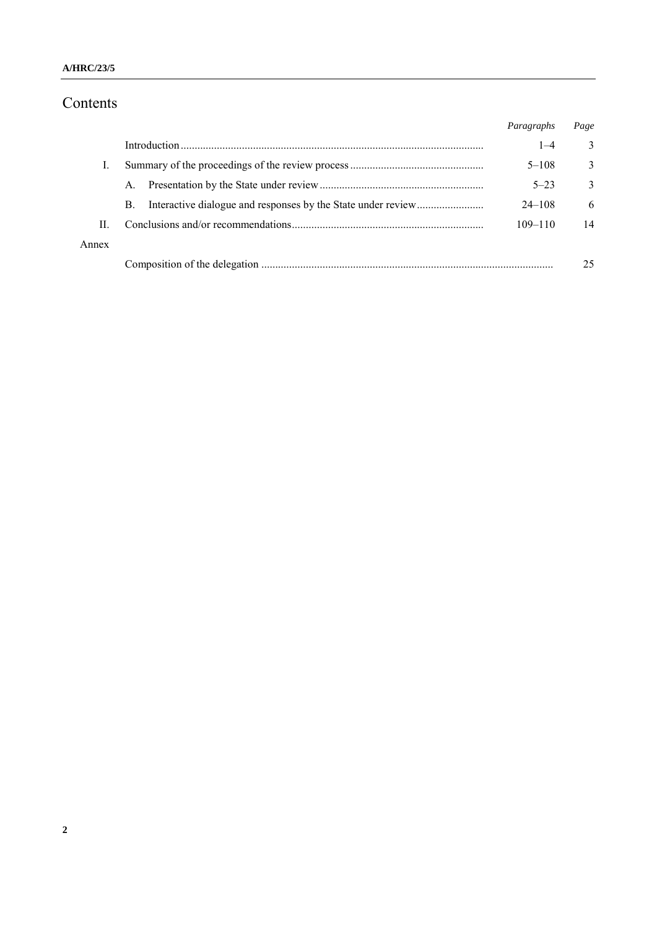# Contents

|       |           | Paragraphs  | Page         |
|-------|-----------|-------------|--------------|
|       |           | $1 - 4$     | 3            |
|       |           | $5 - 108$   | 3            |
|       | A.        | $5 - 23$    | $\mathbf{3}$ |
|       | <b>B.</b> | $24 - 108$  | 6            |
| П     |           | $109 - 110$ | 14           |
| Annex |           |             |              |
|       |           |             | 25           |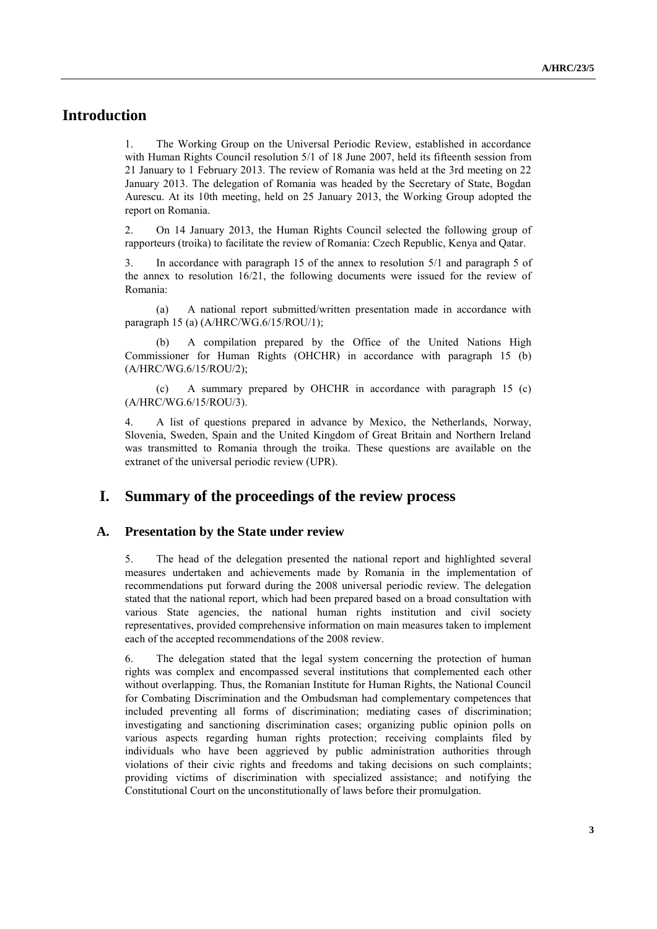# **Introduction**

1. The Working Group on the Universal Periodic Review, established in accordance with Human Rights Council resolution 5/1 of 18 June 2007, held its fifteenth session from 21 January to 1 February 2013. The review of Romania was held at the 3rd meeting on 22 January 2013. The delegation of Romania was headed by the Secretary of State, Bogdan Aurescu. At its 10th meeting, held on 25 January 2013, the Working Group adopted the report on Romania.

2. On 14 January 2013, the Human Rights Council selected the following group of rapporteurs (troika) to facilitate the review of Romania: Czech Republic, Kenya and Qatar.

3. In accordance with paragraph 15 of the annex to resolution 5/1 and paragraph 5 of the annex to resolution 16/21, the following documents were issued for the review of Romania:

(a) A national report submitted/written presentation made in accordance with paragraph 15 (a) (A/HRC/WG.6/15/ROU/1);

(b) A compilation prepared by the Office of the United Nations High Commissioner for Human Rights (OHCHR) in accordance with paragraph 15 (b) (A/HRC/WG.6/15/ROU/2);

(c) A summary prepared by OHCHR in accordance with paragraph 15 (c) (A/HRC/WG.6/15/ROU/3).

4. A list of questions prepared in advance by Mexico, the Netherlands, Norway, Slovenia, Sweden, Spain and the United Kingdom of Great Britain and Northern Ireland was transmitted to Romania through the troika. These questions are available on the extranet of the universal periodic review (UPR).

## **I. Summary of the proceedings of the review process**

#### **A. Presentation by the State under review**

5. The head of the delegation presented the national report and highlighted several measures undertaken and achievements made by Romania in the implementation of recommendations put forward during the 2008 universal periodic review. The delegation stated that the national report, which had been prepared based on a broad consultation with various State agencies, the national human rights institution and civil society representatives, provided comprehensive information on main measures taken to implement each of the accepted recommendations of the 2008 review.

6. The delegation stated that the legal system concerning the protection of human rights was complex and encompassed several institutions that complemented each other without overlapping. Thus, the Romanian Institute for Human Rights, the National Council for Combating Discrimination and the Ombudsman had complementary competences that included preventing all forms of discrimination; mediating cases of discrimination; investigating and sanctioning discrimination cases; organizing public opinion polls on various aspects regarding human rights protection; receiving complaints filed by individuals who have been aggrieved by public administration authorities through violations of their civic rights and freedoms and taking decisions on such complaints; providing victims of discrimination with specialized assistance; and notifying the Constitutional Court on the unconstitutionally of laws before their promulgation.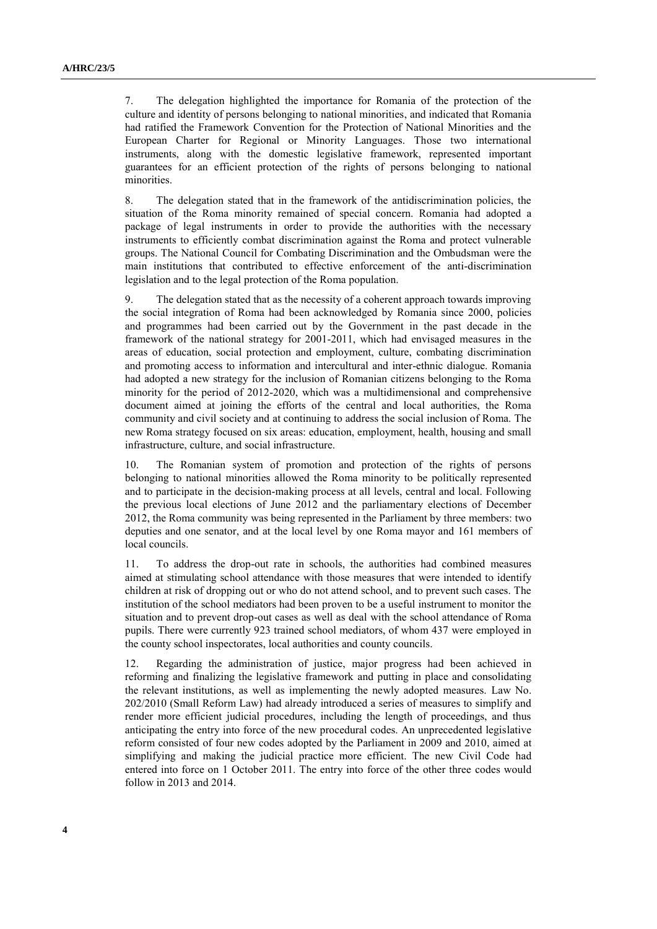7. The delegation highlighted the importance for Romania of the protection of the culture and identity of persons belonging to national minorities, and indicated that Romania had ratified the Framework Convention for the Protection of National Minorities and the European Charter for Regional or Minority Languages. Those two international instruments, along with the domestic legislative framework, represented important guarantees for an efficient protection of the rights of persons belonging to national minorities.

8. The delegation stated that in the framework of the antidiscrimination policies, the situation of the Roma minority remained of special concern. Romania had adopted a package of legal instruments in order to provide the authorities with the necessary instruments to efficiently combat discrimination against the Roma and protect vulnerable groups. The National Council for Combating Discrimination and the Ombudsman were the main institutions that contributed to effective enforcement of the anti-discrimination legislation and to the legal protection of the Roma population.

9. The delegation stated that as the necessity of a coherent approach towards improving the social integration of Roma had been acknowledged by Romania since 2000, policies and programmes had been carried out by the Government in the past decade in the framework of the national strategy for 2001-2011, which had envisaged measures in the areas of education, social protection and employment, culture, combating discrimination and promoting access to information and intercultural and inter-ethnic dialogue. Romania had adopted a new strategy for the inclusion of Romanian citizens belonging to the Roma minority for the period of 2012-2020, which was a multidimensional and comprehensive document aimed at joining the efforts of the central and local authorities, the Roma community and civil society and at continuing to address the social inclusion of Roma. The new Roma strategy focused on six areas: education, employment, health, housing and small infrastructure, culture, and social infrastructure.

10. The Romanian system of promotion and protection of the rights of persons belonging to national minorities allowed the Roma minority to be politically represented and to participate in the decision-making process at all levels, central and local. Following the previous local elections of June 2012 and the parliamentary elections of December 2012, the Roma community was being represented in the Parliament by three members: two deputies and one senator, and at the local level by one Roma mayor and 161 members of local councils.

11. To address the drop-out rate in schools, the authorities had combined measures aimed at stimulating school attendance with those measures that were intended to identify children at risk of dropping out or who do not attend school, and to prevent such cases. The institution of the school mediators had been proven to be a useful instrument to monitor the situation and to prevent drop-out cases as well as deal with the school attendance of Roma pupils. There were currently 923 trained school mediators, of whom 437 were employed in the county school inspectorates, local authorities and county councils.

12. Regarding the administration of justice, major progress had been achieved in reforming and finalizing the legislative framework and putting in place and consolidating the relevant institutions, as well as implementing the newly adopted measures. Law No. 202/2010 (Small Reform Law) had already introduced a series of measures to simplify and render more efficient judicial procedures, including the length of proceedings, and thus anticipating the entry into force of the new procedural codes. An unprecedented legislative reform consisted of four new codes adopted by the Parliament in 2009 and 2010, aimed at simplifying and making the judicial practice more efficient. The new Civil Code had entered into force on 1 October 2011. The entry into force of the other three codes would follow in 2013 and 2014.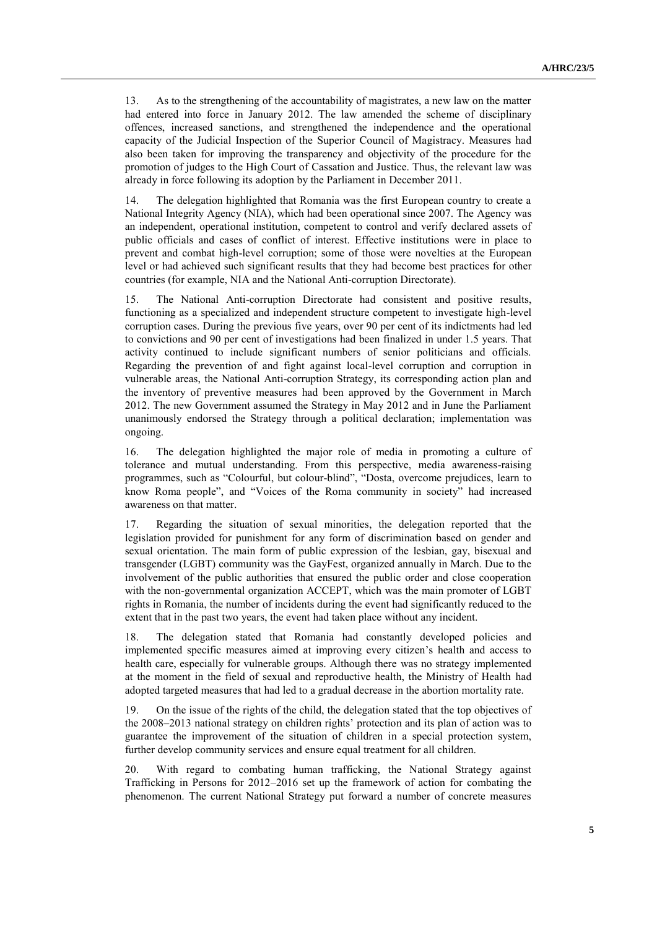13. As to the strengthening of the accountability of magistrates, a new law on the matter had entered into force in January 2012. The law amended the scheme of disciplinary offences, increased sanctions, and strengthened the independence and the operational capacity of the Judicial Inspection of the Superior Council of Magistracy. Measures had also been taken for improving the transparency and objectivity of the procedure for the promotion of judges to the High Court of Cassation and Justice. Thus, the relevant law was already in force following its adoption by the Parliament in December 2011.

14. The delegation highlighted that Romania was the first European country to create a National Integrity Agency (NIA), which had been operational since 2007. The Agency was an independent, operational institution, competent to control and verify declared assets of public officials and cases of conflict of interest. Effective institutions were in place to prevent and combat high-level corruption; some of those were novelties at the European level or had achieved such significant results that they had become best practices for other countries (for example, NIA and the National Anti-corruption Directorate).

15. The National Anti-corruption Directorate had consistent and positive results, functioning as a specialized and independent structure competent to investigate high-level corruption cases. During the previous five years, over 90 per cent of its indictments had led to convictions and 90 per cent of investigations had been finalized in under 1.5 years. That activity continued to include significant numbers of senior politicians and officials. Regarding the prevention of and fight against local-level corruption and corruption in vulnerable areas, the National Anti-corruption Strategy, its corresponding action plan and the inventory of preventive measures had been approved by the Government in March 2012. The new Government assumed the Strategy in May 2012 and in June the Parliament unanimously endorsed the Strategy through a political declaration; implementation was ongoing.

16. The delegation highlighted the major role of media in promoting a culture of tolerance and mutual understanding. From this perspective, media awareness-raising programmes, such as "Colourful, but colour-blind", "Dosta, overcome prejudices, learn to know Roma people", and "Voices of the Roma community in society" had increased awareness on that matter.

17. Regarding the situation of sexual minorities, the delegation reported that the legislation provided for punishment for any form of discrimination based on gender and sexual orientation. The main form of public expression of the lesbian, gay, bisexual and transgender (LGBT) community was the GayFest, organized annually in March. Due to the involvement of the public authorities that ensured the public order and close cooperation with the non-governmental organization ACCEPT, which was the main promoter of LGBT rights in Romania, the number of incidents during the event had significantly reduced to the extent that in the past two years, the event had taken place without any incident.

18. The delegation stated that Romania had constantly developed policies and implemented specific measures aimed at improving every citizen's health and access to health care, especially for vulnerable groups. Although there was no strategy implemented at the moment in the field of sexual and reproductive health, the Ministry of Health had adopted targeted measures that had led to a gradual decrease in the abortion mortality rate.

19. On the issue of the rights of the child, the delegation stated that the top objectives of the 2008–2013 national strategy on children rights' protection and its plan of action was to guarantee the improvement of the situation of children in a special protection system, further develop community services and ensure equal treatment for all children.

20. With regard to combating human trafficking, the National Strategy against Trafficking in Persons for 2012–2016 set up the framework of action for combating the phenomenon. The current National Strategy put forward a number of concrete measures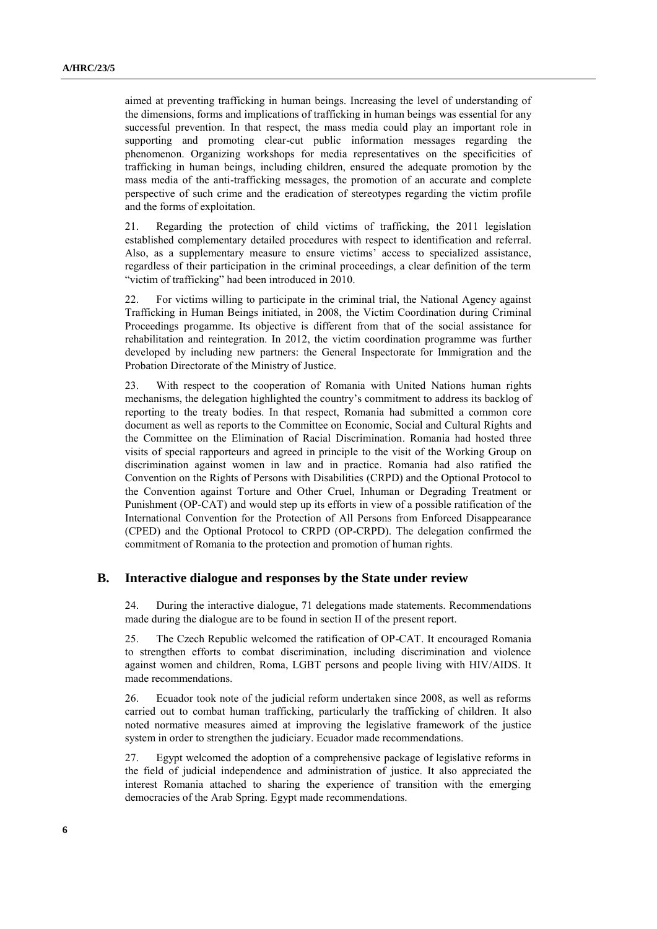aimed at preventing trafficking in human beings. Increasing the level of understanding of the dimensions, forms and implications of trafficking in human beings was essential for any successful prevention. In that respect, the mass media could play an important role in supporting and promoting clear-cut public information messages regarding the phenomenon. Organizing workshops for media representatives on the specificities of trafficking in human beings, including children, ensured the adequate promotion by the mass media of the anti-trafficking messages, the promotion of an accurate and complete perspective of such crime and the eradication of stereotypes regarding the victim profile and the forms of exploitation.

21. Regarding the protection of child victims of trafficking, the 2011 legislation established complementary detailed procedures with respect to identification and referral. Also, as a supplementary measure to ensure victims' access to specialized assistance, regardless of their participation in the criminal proceedings, a clear definition of the term "victim of trafficking" had been introduced in 2010.

22. For victims willing to participate in the criminal trial, the National Agency against Trafficking in Human Beings initiated, in 2008, the Victim Coordination during Criminal Proceedings progamme. Its objective is different from that of the social assistance for rehabilitation and reintegration. In 2012, the victim coordination programme was further developed by including new partners: the General Inspectorate for Immigration and the Probation Directorate of the Ministry of Justice.

23. With respect to the cooperation of Romania with United Nations human rights mechanisms, the delegation highlighted the country's commitment to address its backlog of reporting to the treaty bodies. In that respect, Romania had submitted a common core document as well as reports to the Committee on Economic, Social and Cultural Rights and the Committee on the Elimination of Racial Discrimination. Romania had hosted three visits of special rapporteurs and agreed in principle to the visit of the Working Group on discrimination against women in law and in practice. Romania had also ratified the Convention on the Rights of Persons with Disabilities (CRPD) and the Optional Protocol to the Convention against Torture and Other Cruel, Inhuman or Degrading Treatment or Punishment (OP-CAT) and would step up its efforts in view of a possible ratification of the International Convention for the Protection of All Persons from Enforced Disappearance (CPED) and the Optional Protocol to CRPD (OP-CRPD). The delegation confirmed the commitment of Romania to the protection and promotion of human rights.

#### **B. Interactive dialogue and responses by the State under review**

24. During the interactive dialogue, 71 delegations made statements. Recommendations made during the dialogue are to be found in section II of the present report.

25. The Czech Republic welcomed the ratification of OP-CAT. It encouraged Romania to strengthen efforts to combat discrimination, including discrimination and violence against women and children, Roma, LGBT persons and people living with HIV/AIDS. It made recommendations.

26. Ecuador took note of the judicial reform undertaken since 2008, as well as reforms carried out to combat human trafficking, particularly the trafficking of children. It also noted normative measures aimed at improving the legislative framework of the justice system in order to strengthen the judiciary. Ecuador made recommendations.

27. Egypt welcomed the adoption of a comprehensive package of legislative reforms in the field of judicial independence and administration of justice. It also appreciated the interest Romania attached to sharing the experience of transition with the emerging democracies of the Arab Spring. Egypt made recommendations.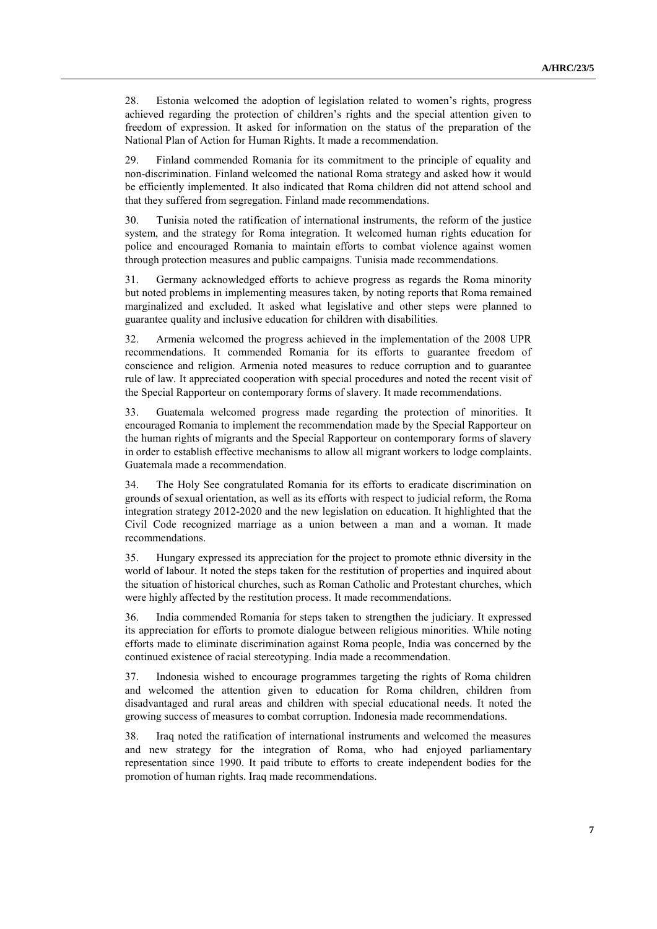28. Estonia welcomed the adoption of legislation related to women's rights, progress achieved regarding the protection of children's rights and the special attention given to freedom of expression. It asked for information on the status of the preparation of the National Plan of Action for Human Rights. It made a recommendation.

29. Finland commended Romania for its commitment to the principle of equality and non-discrimination. Finland welcomed the national Roma strategy and asked how it would be efficiently implemented. It also indicated that Roma children did not attend school and that they suffered from segregation. Finland made recommendations.

30. Tunisia noted the ratification of international instruments, the reform of the justice system, and the strategy for Roma integration. It welcomed human rights education for police and encouraged Romania to maintain efforts to combat violence against women through protection measures and public campaigns. Tunisia made recommendations.

31. Germany acknowledged efforts to achieve progress as regards the Roma minority but noted problems in implementing measures taken, by noting reports that Roma remained marginalized and excluded. It asked what legislative and other steps were planned to guarantee quality and inclusive education for children with disabilities.

32. Armenia welcomed the progress achieved in the implementation of the 2008 UPR recommendations. It commended Romania for its efforts to guarantee freedom of conscience and religion. Armenia noted measures to reduce corruption and to guarantee rule of law. It appreciated cooperation with special procedures and noted the recent visit of the Special Rapporteur on contemporary forms of slavery. It made recommendations.

33. Guatemala welcomed progress made regarding the protection of minorities. It encouraged Romania to implement the recommendation made by the Special Rapporteur on the human rights of migrants and the Special Rapporteur on contemporary forms of slavery in order to establish effective mechanisms to allow all migrant workers to lodge complaints. Guatemala made a recommendation.

34. The Holy See congratulated Romania for its efforts to eradicate discrimination on grounds of sexual orientation, as well as its efforts with respect to judicial reform, the Roma integration strategy 2012-2020 and the new legislation on education. It highlighted that the Civil Code recognized marriage as a union between a man and a woman. It made recommendations.

35. Hungary expressed its appreciation for the project to promote ethnic diversity in the world of labour. It noted the steps taken for the restitution of properties and inquired about the situation of historical churches, such as Roman Catholic and Protestant churches, which were highly affected by the restitution process. It made recommendations.

36. India commended Romania for steps taken to strengthen the judiciary. It expressed its appreciation for efforts to promote dialogue between religious minorities. While noting efforts made to eliminate discrimination against Roma people, India was concerned by the continued existence of racial stereotyping. India made a recommendation.

37. Indonesia wished to encourage programmes targeting the rights of Roma children and welcomed the attention given to education for Roma children, children from disadvantaged and rural areas and children with special educational needs. It noted the growing success of measures to combat corruption. Indonesia made recommendations.

38. Iraq noted the ratification of international instruments and welcomed the measures and new strategy for the integration of Roma, who had enjoyed parliamentary representation since 1990. It paid tribute to efforts to create independent bodies for the promotion of human rights. Iraq made recommendations.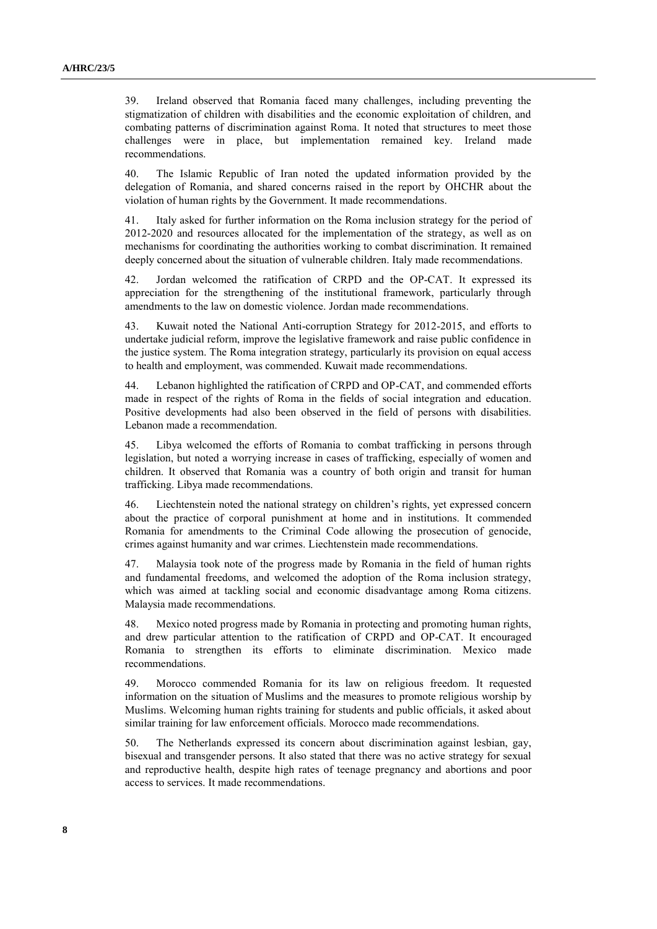39. Ireland observed that Romania faced many challenges, including preventing the stigmatization of children with disabilities and the economic exploitation of children, and combating patterns of discrimination against Roma. It noted that structures to meet those challenges were in place, but implementation remained key. Ireland made recommendations.

40. The Islamic Republic of Iran noted the updated information provided by the delegation of Romania, and shared concerns raised in the report by OHCHR about the violation of human rights by the Government. It made recommendations.

41. Italy asked for further information on the Roma inclusion strategy for the period of 2012-2020 and resources allocated for the implementation of the strategy, as well as on mechanisms for coordinating the authorities working to combat discrimination. It remained deeply concerned about the situation of vulnerable children. Italy made recommendations.

42. Jordan welcomed the ratification of CRPD and the OP-CAT. It expressed its appreciation for the strengthening of the institutional framework, particularly through amendments to the law on domestic violence. Jordan made recommendations.

43. Kuwait noted the National Anti-corruption Strategy for 2012-2015, and efforts to undertake judicial reform, improve the legislative framework and raise public confidence in the justice system. The Roma integration strategy, particularly its provision on equal access to health and employment, was commended. Kuwait made recommendations.

44. Lebanon highlighted the ratification of CRPD and OP-CAT, and commended efforts made in respect of the rights of Roma in the fields of social integration and education. Positive developments had also been observed in the field of persons with disabilities. Lebanon made a recommendation.

45. Libya welcomed the efforts of Romania to combat trafficking in persons through legislation, but noted a worrying increase in cases of trafficking, especially of women and children. It observed that Romania was a country of both origin and transit for human trafficking. Libya made recommendations.

46. Liechtenstein noted the national strategy on children's rights, yet expressed concern about the practice of corporal punishment at home and in institutions. It commended Romania for amendments to the Criminal Code allowing the prosecution of genocide, crimes against humanity and war crimes. Liechtenstein made recommendations.

47. Malaysia took note of the progress made by Romania in the field of human rights and fundamental freedoms, and welcomed the adoption of the Roma inclusion strategy, which was aimed at tackling social and economic disadvantage among Roma citizens. Malaysia made recommendations.

48. Mexico noted progress made by Romania in protecting and promoting human rights, and drew particular attention to the ratification of CRPD and OP-CAT. It encouraged Romania to strengthen its efforts to eliminate discrimination. Mexico made recommendations.

49. Morocco commended Romania for its law on religious freedom. It requested information on the situation of Muslims and the measures to promote religious worship by Muslims. Welcoming human rights training for students and public officials, it asked about similar training for law enforcement officials. Morocco made recommendations.

50. The Netherlands expressed its concern about discrimination against lesbian, gay, bisexual and transgender persons. It also stated that there was no active strategy for sexual and reproductive health, despite high rates of teenage pregnancy and abortions and poor access to services. It made recommendations.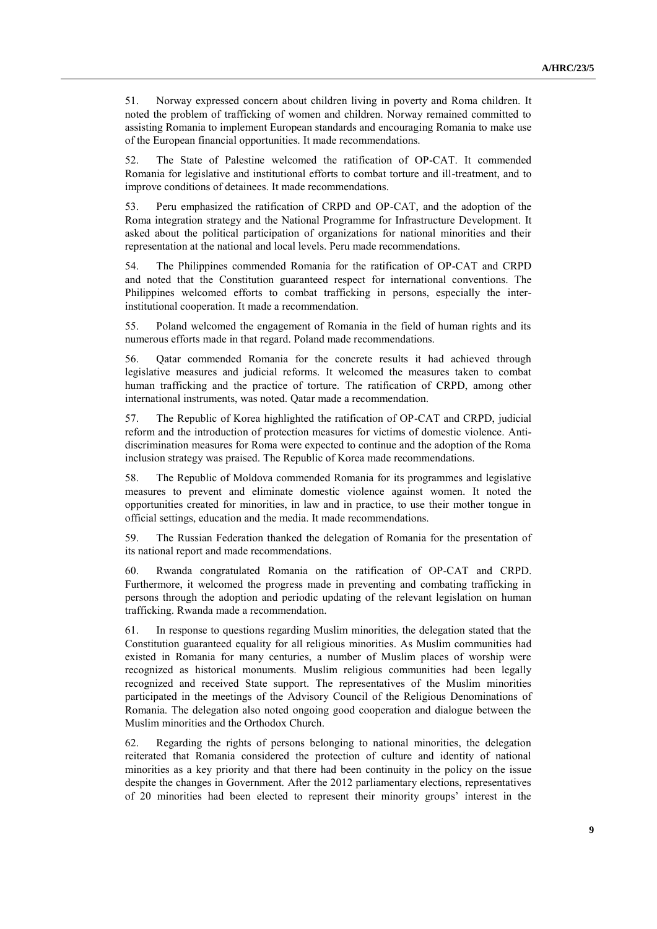51. Norway expressed concern about children living in poverty and Roma children. It noted the problem of trafficking of women and children. Norway remained committed to assisting Romania to implement European standards and encouraging Romania to make use of the European financial opportunities. It made recommendations.

52. The State of Palestine welcomed the ratification of OP-CAT. It commended Romania for legislative and institutional efforts to combat torture and ill-treatment, and to improve conditions of detainees. It made recommendations.

53. Peru emphasized the ratification of CRPD and OP-CAT, and the adoption of the Roma integration strategy and the National Programme for Infrastructure Development. It asked about the political participation of organizations for national minorities and their representation at the national and local levels. Peru made recommendations.

54. The Philippines commended Romania for the ratification of OP-CAT and CRPD and noted that the Constitution guaranteed respect for international conventions. The Philippines welcomed efforts to combat trafficking in persons, especially the interinstitutional cooperation. It made a recommendation.

55. Poland welcomed the engagement of Romania in the field of human rights and its numerous efforts made in that regard. Poland made recommendations.

56. Qatar commended Romania for the concrete results it had achieved through legislative measures and judicial reforms. It welcomed the measures taken to combat human trafficking and the practice of torture. The ratification of CRPD, among other international instruments, was noted. Qatar made a recommendation.

57. The Republic of Korea highlighted the ratification of OP-CAT and CRPD, judicial reform and the introduction of protection measures for victims of domestic violence. Antidiscrimination measures for Roma were expected to continue and the adoption of the Roma inclusion strategy was praised. The Republic of Korea made recommendations.

58. The Republic of Moldova commended Romania for its programmes and legislative measures to prevent and eliminate domestic violence against women. It noted the opportunities created for minorities, in law and in practice, to use their mother tongue in official settings, education and the media. It made recommendations.

59. The Russian Federation thanked the delegation of Romania for the presentation of its national report and made recommendations.

60. Rwanda congratulated Romania on the ratification of OP-CAT and CRPD. Furthermore, it welcomed the progress made in preventing and combating trafficking in persons through the adoption and periodic updating of the relevant legislation on human trafficking. Rwanda made a recommendation.

61. In response to questions regarding Muslim minorities, the delegation stated that the Constitution guaranteed equality for all religious minorities. As Muslim communities had existed in Romania for many centuries, a number of Muslim places of worship were recognized as historical monuments. Muslim religious communities had been legally recognized and received State support. The representatives of the Muslim minorities participated in the meetings of the Advisory Council of the Religious Denominations of Romania. The delegation also noted ongoing good cooperation and dialogue between the Muslim minorities and the Orthodox Church.

62. Regarding the rights of persons belonging to national minorities, the delegation reiterated that Romania considered the protection of culture and identity of national minorities as a key priority and that there had been continuity in the policy on the issue despite the changes in Government. After the 2012 parliamentary elections, representatives of 20 minorities had been elected to represent their minority groups' interest in the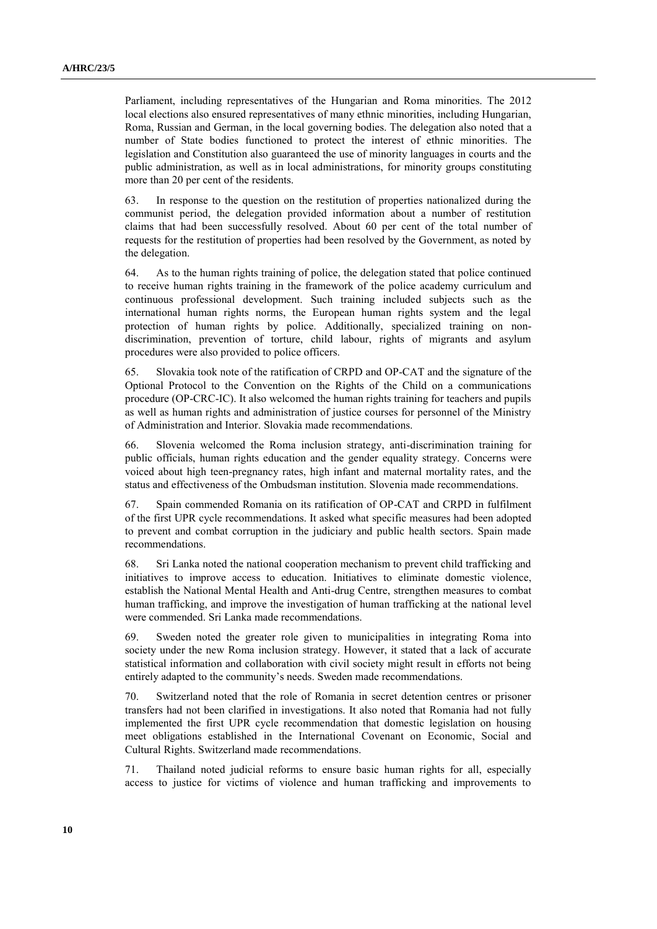Parliament, including representatives of the Hungarian and Roma minorities. The 2012 local elections also ensured representatives of many ethnic minorities, including Hungarian, Roma, Russian and German, in the local governing bodies. The delegation also noted that a number of State bodies functioned to protect the interest of ethnic minorities. The legislation and Constitution also guaranteed the use of minority languages in courts and the public administration, as well as in local administrations, for minority groups constituting more than 20 per cent of the residents.

63. In response to the question on the restitution of properties nationalized during the communist period, the delegation provided information about a number of restitution claims that had been successfully resolved. About 60 per cent of the total number of requests for the restitution of properties had been resolved by the Government, as noted by the delegation.

64. As to the human rights training of police, the delegation stated that police continued to receive human rights training in the framework of the police academy curriculum and continuous professional development. Such training included subjects such as the international human rights norms, the European human rights system and the legal protection of human rights by police. Additionally, specialized training on nondiscrimination, prevention of torture, child labour, rights of migrants and asylum procedures were also provided to police officers.

65. Slovakia took note of the ratification of CRPD and OP-CAT and the signature of the Optional Protocol to the Convention on the Rights of the Child on a communications procedure (OP-CRC-IC). It also welcomed the human rights training for teachers and pupils as well as human rights and administration of justice courses for personnel of the Ministry of Administration and Interior. Slovakia made recommendations.

66. Slovenia welcomed the Roma inclusion strategy, anti-discrimination training for public officials, human rights education and the gender equality strategy. Concerns were voiced about high teen-pregnancy rates, high infant and maternal mortality rates, and the status and effectiveness of the Ombudsman institution. Slovenia made recommendations.

67. Spain commended Romania on its ratification of OP-CAT and CRPD in fulfilment of the first UPR cycle recommendations. It asked what specific measures had been adopted to prevent and combat corruption in the judiciary and public health sectors. Spain made recommendations.

68. Sri Lanka noted the national cooperation mechanism to prevent child trafficking and initiatives to improve access to education. Initiatives to eliminate domestic violence, establish the National Mental Health and Anti-drug Centre, strengthen measures to combat human trafficking, and improve the investigation of human trafficking at the national level were commended. Sri Lanka made recommendations.

69. Sweden noted the greater role given to municipalities in integrating Roma into society under the new Roma inclusion strategy. However, it stated that a lack of accurate statistical information and collaboration with civil society might result in efforts not being entirely adapted to the community's needs. Sweden made recommendations.

70. Switzerland noted that the role of Romania in secret detention centres or prisoner transfers had not been clarified in investigations. It also noted that Romania had not fully implemented the first UPR cycle recommendation that domestic legislation on housing meet obligations established in the International Covenant on Economic, Social and Cultural Rights. Switzerland made recommendations.

71. Thailand noted judicial reforms to ensure basic human rights for all, especially access to justice for victims of violence and human trafficking and improvements to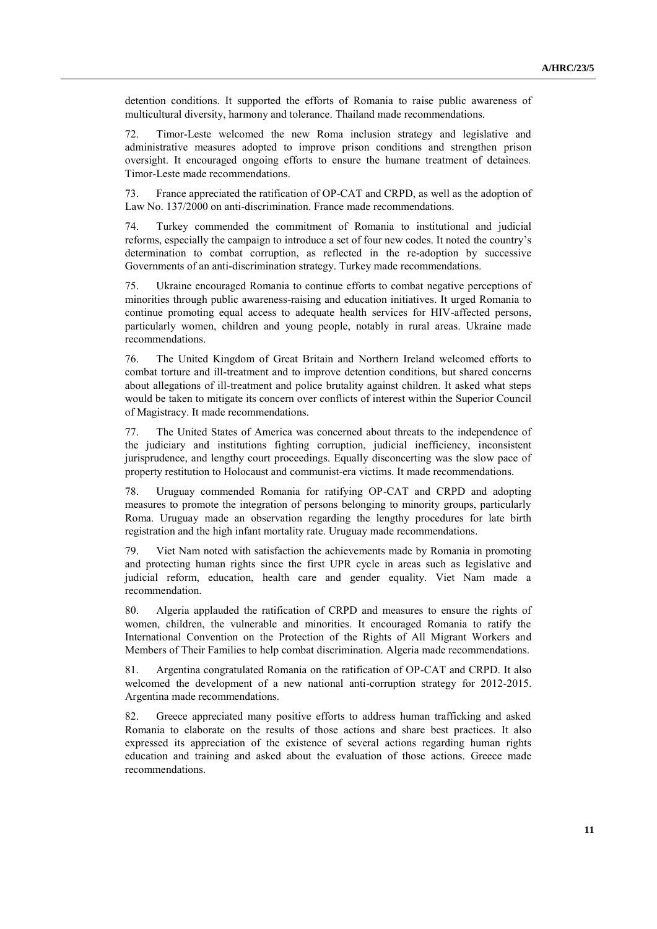detention conditions. It supported the efforts of Romania to raise public awareness of multicultural diversity, harmony and tolerance. Thailand made recommendations.

72. Timor-Leste welcomed the new Roma inclusion strategy and legislative and administrative measures adopted to improve prison conditions and strengthen prison oversight. It encouraged ongoing efforts to ensure the humane treatment of detainees. Timor-Leste made recommendations.

73. France appreciated the ratification of OP-CAT and CRPD, as well as the adoption of Law No. 137/2000 on anti-discrimination. France made recommendations.

74. Turkey commended the commitment of Romania to institutional and judicial reforms, especially the campaign to introduce a set of four new codes. It noted the country's determination to combat corruption, as reflected in the re-adoption by successive Governments of an anti-discrimination strategy. Turkey made recommendations.

75. Ukraine encouraged Romania to continue efforts to combat negative perceptions of minorities through public awareness-raising and education initiatives. It urged Romania to continue promoting equal access to adequate health services for HIV-affected persons, particularly women, children and young people, notably in rural areas. Ukraine made recommendations.

76. The United Kingdom of Great Britain and Northern Ireland welcomed efforts to combat torture and ill-treatment and to improve detention conditions, but shared concerns about allegations of ill-treatment and police brutality against children. It asked what steps would be taken to mitigate its concern over conflicts of interest within the Superior Council of Magistracy. It made recommendations.

77. The United States of America was concerned about threats to the independence of the judiciary and institutions fighting corruption, judicial inefficiency, inconsistent jurisprudence, and lengthy court proceedings. Equally disconcerting was the slow pace of property restitution to Holocaust and communist-era victims. It made recommendations.

78. Uruguay commended Romania for ratifying OP-CAT and CRPD and adopting measures to promote the integration of persons belonging to minority groups, particularly Roma. Uruguay made an observation regarding the lengthy procedures for late birth registration and the high infant mortality rate. Uruguay made recommendations.

79. Viet Nam noted with satisfaction the achievements made by Romania in promoting and protecting human rights since the first UPR cycle in areas such as legislative and judicial reform, education, health care and gender equality. Viet Nam made a recommendation.

80. Algeria applauded the ratification of CRPD and measures to ensure the rights of women, children, the vulnerable and minorities. It encouraged Romania to ratify the International Convention on the Protection of the Rights of All Migrant Workers and Members of Their Families to help combat discrimination. Algeria made recommendations.

81. Argentina congratulated Romania on the ratification of OP-CAT and CRPD. It also welcomed the development of a new national anti-corruption strategy for 2012-2015. Argentina made recommendations.

82. Greece appreciated many positive efforts to address human trafficking and asked Romania to elaborate on the results of those actions and share best practices. It also expressed its appreciation of the existence of several actions regarding human rights education and training and asked about the evaluation of those actions. Greece made recommendations.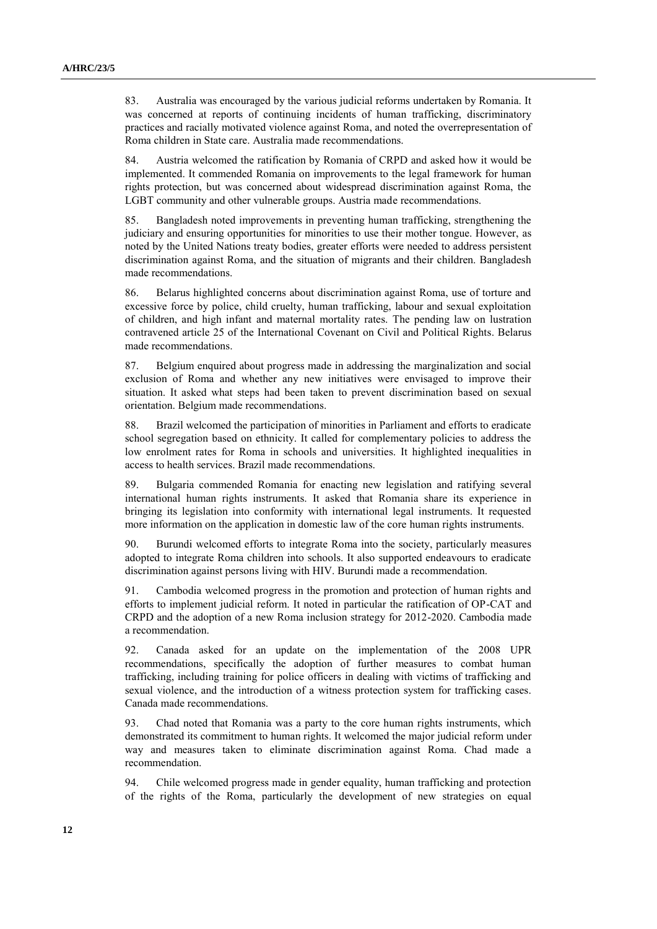83. Australia was encouraged by the various judicial reforms undertaken by Romania. It was concerned at reports of continuing incidents of human trafficking, discriminatory practices and racially motivated violence against Roma, and noted the overrepresentation of Roma children in State care. Australia made recommendations.

84. Austria welcomed the ratification by Romania of CRPD and asked how it would be implemented. It commended Romania on improvements to the legal framework for human rights protection, but was concerned about widespread discrimination against Roma, the LGBT community and other vulnerable groups. Austria made recommendations.

85. Bangladesh noted improvements in preventing human trafficking, strengthening the judiciary and ensuring opportunities for minorities to use their mother tongue. However, as noted by the United Nations treaty bodies, greater efforts were needed to address persistent discrimination against Roma, and the situation of migrants and their children. Bangladesh made recommendations.

86. Belarus highlighted concerns about discrimination against Roma, use of torture and excessive force by police, child cruelty, human trafficking, labour and sexual exploitation of children, and high infant and maternal mortality rates. The pending law on lustration contravened article 25 of the International Covenant on Civil and Political Rights. Belarus made recommendations.

87. Belgium enquired about progress made in addressing the marginalization and social exclusion of Roma and whether any new initiatives were envisaged to improve their situation. It asked what steps had been taken to prevent discrimination based on sexual orientation. Belgium made recommendations.

88. Brazil welcomed the participation of minorities in Parliament and efforts to eradicate school segregation based on ethnicity. It called for complementary policies to address the low enrolment rates for Roma in schools and universities. It highlighted inequalities in access to health services. Brazil made recommendations.

89. Bulgaria commended Romania for enacting new legislation and ratifying several international human rights instruments. It asked that Romania share its experience in bringing its legislation into conformity with international legal instruments. It requested more information on the application in domestic law of the core human rights instruments.

90. Burundi welcomed efforts to integrate Roma into the society, particularly measures adopted to integrate Roma children into schools. It also supported endeavours to eradicate discrimination against persons living with HIV. Burundi made a recommendation.

91. Cambodia welcomed progress in the promotion and protection of human rights and efforts to implement judicial reform. It noted in particular the ratification of OP-CAT and CRPD and the adoption of a new Roma inclusion strategy for 2012-2020. Cambodia made a recommendation.

92. Canada asked for an update on the implementation of the 2008 UPR recommendations, specifically the adoption of further measures to combat human trafficking, including training for police officers in dealing with victims of trafficking and sexual violence, and the introduction of a witness protection system for trafficking cases. Canada made recommendations.

93. Chad noted that Romania was a party to the core human rights instruments, which demonstrated its commitment to human rights. It welcomed the major judicial reform under way and measures taken to eliminate discrimination against Roma. Chad made a recommendation.

94. Chile welcomed progress made in gender equality, human trafficking and protection of the rights of the Roma, particularly the development of new strategies on equal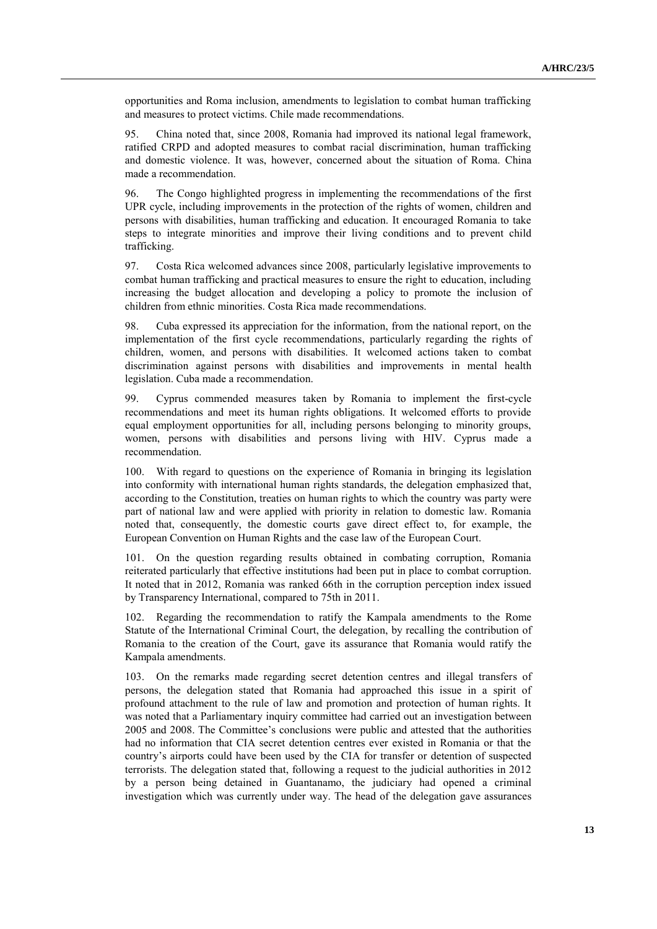opportunities and Roma inclusion, amendments to legislation to combat human trafficking and measures to protect victims. Chile made recommendations.

95. China noted that, since 2008, Romania had improved its national legal framework, ratified CRPD and adopted measures to combat racial discrimination, human trafficking and domestic violence. It was, however, concerned about the situation of Roma. China made a recommendation.

96. The Congo highlighted progress in implementing the recommendations of the first UPR cycle, including improvements in the protection of the rights of women, children and persons with disabilities, human trafficking and education. It encouraged Romania to take steps to integrate minorities and improve their living conditions and to prevent child trafficking.

97. Costa Rica welcomed advances since 2008, particularly legislative improvements to combat human trafficking and practical measures to ensure the right to education, including increasing the budget allocation and developing a policy to promote the inclusion of children from ethnic minorities. Costa Rica made recommendations.

98. Cuba expressed its appreciation for the information, from the national report, on the implementation of the first cycle recommendations, particularly regarding the rights of children, women, and persons with disabilities. It welcomed actions taken to combat discrimination against persons with disabilities and improvements in mental health legislation. Cuba made a recommendation.

99. Cyprus commended measures taken by Romania to implement the first-cycle recommendations and meet its human rights obligations. It welcomed efforts to provide equal employment opportunities for all, including persons belonging to minority groups, women, persons with disabilities and persons living with HIV. Cyprus made a recommendation.

100. With regard to questions on the experience of Romania in bringing its legislation into conformity with international human rights standards, the delegation emphasized that, according to the Constitution, treaties on human rights to which the country was party were part of national law and were applied with priority in relation to domestic law. Romania noted that, consequently, the domestic courts gave direct effect to, for example, the European Convention on Human Rights and the case law of the European Court.

101. On the question regarding results obtained in combating corruption, Romania reiterated particularly that effective institutions had been put in place to combat corruption. It noted that in 2012, Romania was ranked 66th in the corruption perception index issued by Transparency International, compared to 75th in 2011.

102. Regarding the recommendation to ratify the Kampala amendments to the Rome Statute of the International Criminal Court, the delegation, by recalling the contribution of Romania to the creation of the Court, gave its assurance that Romania would ratify the Kampala amendments.

103. On the remarks made regarding secret detention centres and illegal transfers of persons, the delegation stated that Romania had approached this issue in a spirit of profound attachment to the rule of law and promotion and protection of human rights. It was noted that a Parliamentary inquiry committee had carried out an investigation between 2005 and 2008. The Committee's conclusions were public and attested that the authorities had no information that CIA secret detention centres ever existed in Romania or that the country's airports could have been used by the CIA for transfer or detention of suspected terrorists. The delegation stated that, following a request to the judicial authorities in 2012 by a person being detained in Guantanamo, the judiciary had opened a criminal investigation which was currently under way. The head of the delegation gave assurances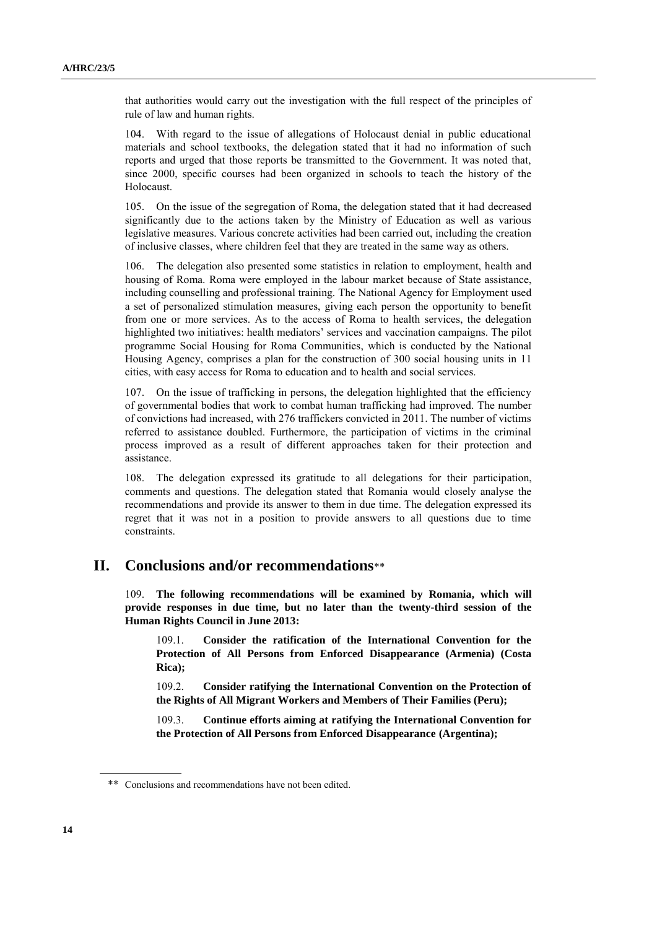that authorities would carry out the investigation with the full respect of the principles of rule of law and human rights.

104. With regard to the issue of allegations of Holocaust denial in public educational materials and school textbooks, the delegation stated that it had no information of such reports and urged that those reports be transmitted to the Government. It was noted that, since 2000, specific courses had been organized in schools to teach the history of the Holocaust.

105. On the issue of the segregation of Roma, the delegation stated that it had decreased significantly due to the actions taken by the Ministry of Education as well as various legislative measures. Various concrete activities had been carried out, including the creation of inclusive classes, where children feel that they are treated in the same way as others.

106. The delegation also presented some statistics in relation to employment, health and housing of Roma. Roma were employed in the labour market because of State assistance, including counselling and professional training. The National Agency for Employment used a set of personalized stimulation measures, giving each person the opportunity to benefit from one or more services. As to the access of Roma to health services, the delegation highlighted two initiatives: health mediators' services and vaccination campaigns. The pilot programme Social Housing for Roma Communities, which is conducted by the National Housing Agency, comprises a plan for the construction of 300 social housing units in 11 cities, with easy access for Roma to education and to health and social services.

107. On the issue of trafficking in persons, the delegation highlighted that the efficiency of governmental bodies that work to combat human trafficking had improved. The number of convictions had increased, with 276 traffickers convicted in 2011. The number of victims referred to assistance doubled. Furthermore, the participation of victims in the criminal process improved as a result of different approaches taken for their protection and assistance.

108. The delegation expressed its gratitude to all delegations for their participation, comments and questions. The delegation stated that Romania would closely analyse the recommendations and provide its answer to them in due time. The delegation expressed its regret that it was not in a position to provide answers to all questions due to time constraints.

### **II. Conclusions and/or recommendations**\*\*

109. **The following recommendations will be examined by Romania, which will provide responses in due time, but no later than the twenty-third session of the Human Rights Council in June 2013:**

109.1. **Consider the ratification of the International Convention for the Protection of All Persons from Enforced Disappearance (Armenia) (Costa Rica);**

109.2. **Consider ratifying the International Convention on the Protection of the Rights of All Migrant Workers and Members of Their Families (Peru);**

109.3. **Continue efforts aiming at ratifying the International Convention for the Protection of All Persons from Enforced Disappearance (Argentina);**

<sup>\*\*</sup> Conclusions and recommendations have not been edited.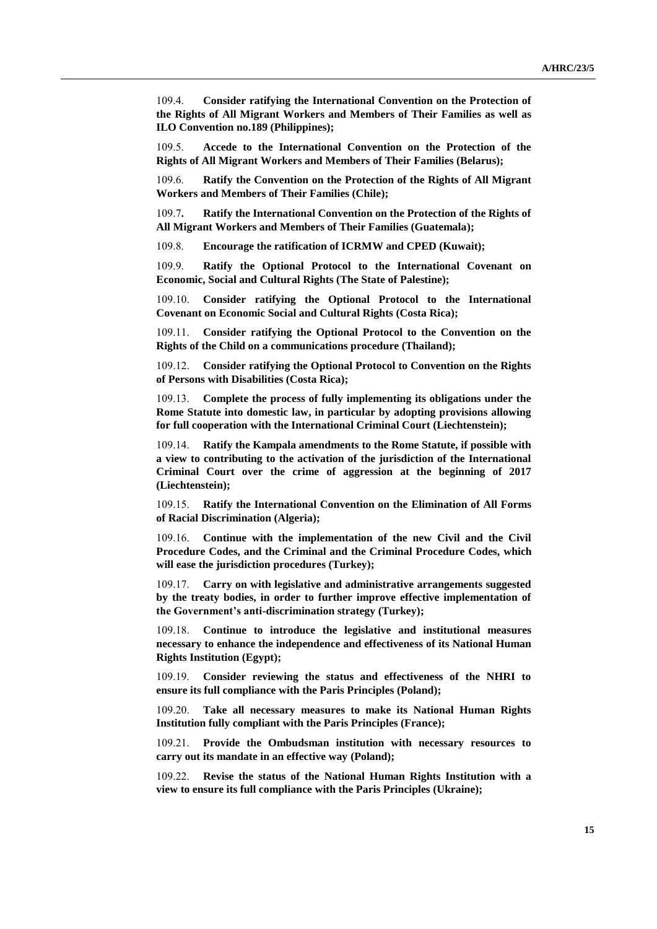109.4. **Consider ratifying the International Convention on the Protection of the Rights of All Migrant Workers and Members of Their Families as well as ILO Convention no.189 (Philippines);**

109.5. **Accede to the International Convention on the Protection of the Rights of All Migrant Workers and Members of Their Families (Belarus);**

109.6. **Ratify the Convention on the Protection of the Rights of All Migrant Workers and Members of Their Families (Chile);**

109.7**. Ratify the International Convention on the Protection of the Rights of All Migrant Workers and Members of Their Families (Guatemala);**

109.8. **Encourage the ratification of ICRMW and CPED (Kuwait);**

109.9. **Ratify the Optional Protocol to the International Covenant on Economic, Social and Cultural Rights (The State of Palestine);**

109.10. **Consider ratifying the Optional Protocol to the International Covenant on Economic Social and Cultural Rights (Costa Rica);**

109.11. **Consider ratifying the Optional Protocol to the Convention on the Rights of the Child on a communications procedure (Thailand);**

109.12. **Consider ratifying the Optional Protocol to Convention on the Rights of Persons with Disabilities (Costa Rica);**

109.13. **Complete the process of fully implementing its obligations under the Rome Statute into domestic law, in particular by adopting provisions allowing for full cooperation with the International Criminal Court (Liechtenstein);**

109.14. **Ratify the Kampala amendments to the Rome Statute, if possible with a view to contributing to the activation of the jurisdiction of the International Criminal Court over the crime of aggression at the beginning of 2017 (Liechtenstein);**

109.15. **Ratify the International Convention on the Elimination of All Forms of Racial Discrimination (Algeria);**

109.16. **Continue with the implementation of the new Civil and the Civil Procedure Codes, and the Criminal and the Criminal Procedure Codes, which will ease the jurisdiction procedures (Turkey);**

109.17. **Carry on with legislative and administrative arrangements suggested by the treaty bodies, in order to further improve effective implementation of the Government's anti-discrimination strategy (Turkey);**

109.18. **Continue to introduce the legislative and institutional measures necessary to enhance the independence and effectiveness of its National Human Rights Institution (Egypt);**

109.19. **Consider reviewing the status and effectiveness of the NHRI to ensure its full compliance with the Paris Principles (Poland);**

109.20. **Take all necessary measures to make its National Human Rights Institution fully compliant with the Paris Principles (France);**

109.21. **Provide the Ombudsman institution with necessary resources to carry out its mandate in an effective way (Poland);**

109.22. **Revise the status of the National Human Rights Institution with a view to ensure its full compliance with the Paris Principles (Ukraine);**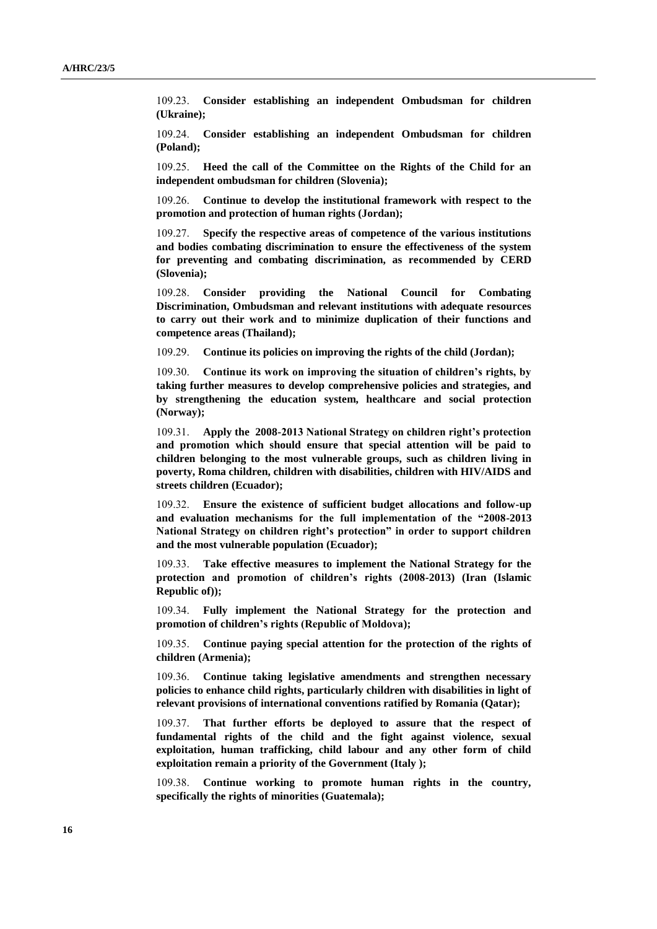109.23. **Consider establishing an independent Ombudsman for children (Ukraine);**

109.24. **Consider establishing an independent Ombudsman for children (Poland);**

109.25. **Heed the call of the Committee on the Rights of the Child for an independent ombudsman for children (Slovenia);**

109.26. **Continue to develop the institutional framework with respect to the promotion and protection of human rights (Jordan);**

109.27. **Specify the respective areas of competence of the various institutions and bodies combating discrimination to ensure the effectiveness of the system for preventing and combating discrimination, as recommended by CERD (Slovenia);**

109.28. **Consider providing the National Council for Combating Discrimination, Ombudsman and relevant institutions with adequate resources to carry out their work and to minimize duplication of their functions and competence areas (Thailand);**

109.29. **Continue its policies on improving the rights of the child (Jordan);**

109.30. **Continue its work on improving the situation of children's rights, by taking further measures to develop comprehensive policies and strategies, and by strengthening the education system, healthcare and social protection (Norway);**

109.31. **Apply the 2008-2013 National Strategy on children right's protection and promotion which should ensure that special attention will be paid to children belonging to the most vulnerable groups, such as children living in poverty, Roma children, children with disabilities, children with HIV/AIDS and streets children (Ecuador);**

109.32. **Ensure the existence of sufficient budget allocations and follow-up and evaluation mechanisms for the full implementation of the "2008-2013 National Strategy on children right's protection" in order to support children and the most vulnerable population (Ecuador);**

109.33. **Take effective measures to implement the National Strategy for the protection and promotion of children's rights (2008-2013) (Iran (Islamic Republic of));**

109.34. **Fully implement the National Strategy for the protection and promotion of children's rights (Republic of Moldova);**

109.35. **Continue paying special attention for the protection of the rights of children (Armenia);**

109.36. **Continue taking legislative amendments and strengthen necessary policies to enhance child rights, particularly children with disabilities in light of relevant provisions of international conventions ratified by Romania (Qatar);**

109.37. **That further efforts be deployed to assure that the respect of fundamental rights of the child and the fight against violence, sexual exploitation, human trafficking, child labour and any other form of child exploitation remain a priority of the Government (Italy );**

109.38. **Continue working to promote human rights in the country, specifically the rights of minorities (Guatemala);**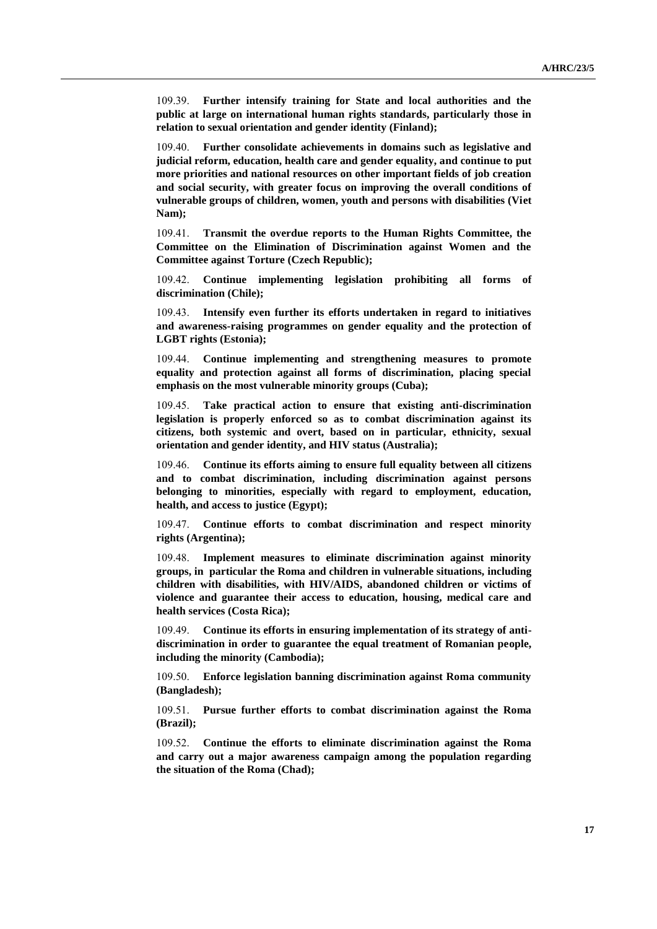109.39. **Further intensify training for State and local authorities and the public at large on international human rights standards, particularly those in relation to sexual orientation and gender identity (Finland);**

109.40. **Further consolidate achievements in domains such as legislative and judicial reform, education, health care and gender equality, and continue to put more priorities and national resources on other important fields of job creation and social security, with greater focus on improving the overall conditions of vulnerable groups of children, women, youth and persons with disabilities (Viet Nam);**

109.41. **Transmit the overdue reports to the Human Rights Committee, the Committee on the Elimination of Discrimination against Women and the Committee against Torture (Czech Republic);**

109.42. **Continue implementing legislation prohibiting all forms of discrimination (Chile);**

109.43. **Intensify even further its efforts undertaken in regard to initiatives and awareness-raising programmes on gender equality and the protection of LGBT rights (Estonia);**

109.44. **Continue implementing and strengthening measures to promote equality and protection against all forms of discrimination, placing special emphasis on the most vulnerable minority groups (Cuba);**

109.45. **Take practical action to ensure that existing anti-discrimination legislation is properly enforced so as to combat discrimination against its citizens, both systemic and overt, based on in particular, ethnicity, sexual orientation and gender identity, and HIV status (Australia);**

109.46. **Continue its efforts aiming to ensure full equality between all citizens and to combat discrimination, including discrimination against persons belonging to minorities, especially with regard to employment, education, health, and access to justice (Egypt);**

109.47. **Continue efforts to combat discrimination and respect minority rights (Argentina);**

109.48. **Implement measures to eliminate discrimination against minority groups, in particular the Roma and children in vulnerable situations, including children with disabilities, with HIV/AIDS, abandoned children or victims of violence and guarantee their access to education, housing, medical care and health services (Costa Rica);**

109.49. **Continue its efforts in ensuring implementation of its strategy of antidiscrimination in order to guarantee the equal treatment of Romanian people, including the minority (Cambodia);**

109.50. **Enforce legislation banning discrimination against Roma community (Bangladesh);**

109.51. **Pursue further efforts to combat discrimination against the Roma (Brazil);**

109.52. **Continue the efforts to eliminate discrimination against the Roma and carry out a major awareness campaign among the population regarding the situation of the Roma (Chad);**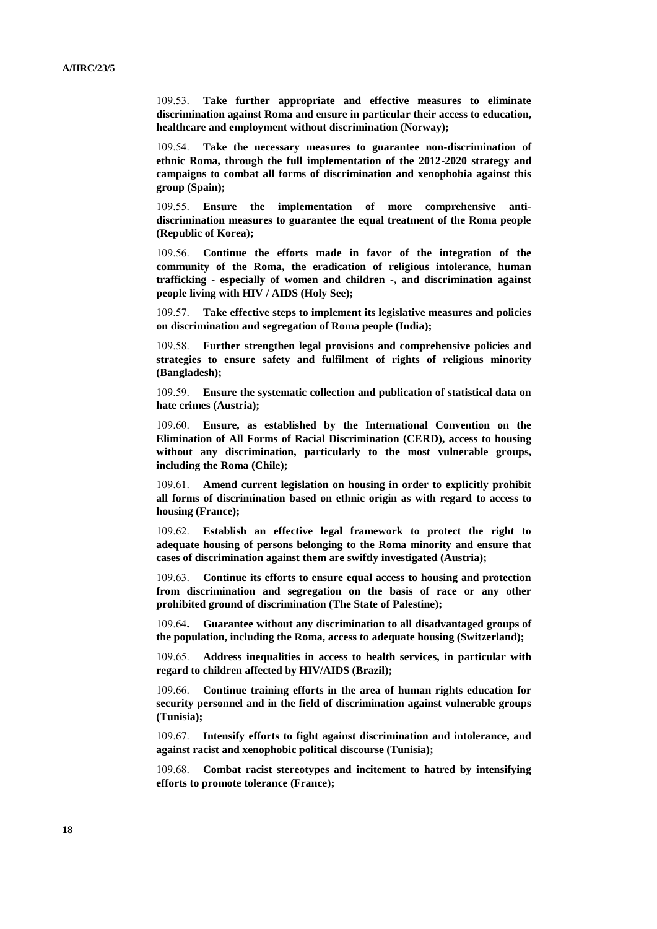109.53. **Take further appropriate and effective measures to eliminate discrimination against Roma and ensure in particular their access to education, healthcare and employment without discrimination (Norway);**

109.54. **Take the necessary measures to guarantee non-discrimination of ethnic Roma, through the full implementation of the 2012-2020 strategy and campaigns to combat all forms of discrimination and xenophobia against this group (Spain);**

109.55. **Ensure the implementation of more comprehensive antidiscrimination measures to guarantee the equal treatment of the Roma people (Republic of Korea);**

109.56. **Continue the efforts made in favor of the integration of the community of the Roma, the eradication of religious intolerance, human trafficking - especially of women and children -, and discrimination against people living with HIV / AIDS (Holy See);**

109.57. **Take effective steps to implement its legislative measures and policies on discrimination and segregation of Roma people (India);**

109.58. **Further strengthen legal provisions and comprehensive policies and strategies to ensure safety and fulfilment of rights of religious minority (Bangladesh);**

109.59. **Ensure the systematic collection and publication of statistical data on hate crimes (Austria);**

109.60. **Ensure, as established by the International Convention on the Elimination of All Forms of Racial Discrimination (CERD), access to housing without any discrimination, particularly to the most vulnerable groups, including the Roma (Chile);**

109.61. **Amend current legislation on housing in order to explicitly prohibit all forms of discrimination based on ethnic origin as with regard to access to housing (France);**

109.62. **Establish an effective legal framework to protect the right to adequate housing of persons belonging to the Roma minority and ensure that cases of discrimination against them are swiftly investigated (Austria);**

109.63. **Continue its efforts to ensure equal access to housing and protection from discrimination and segregation on the basis of race or any other prohibited ground of discrimination (The State of Palestine);**

109.64**. Guarantee without any discrimination to all disadvantaged groups of the population, including the Roma, access to adequate housing (Switzerland);**

109.65. **Address inequalities in access to health services, in particular with regard to children affected by HIV/AIDS (Brazil);**

109.66. **Continue training efforts in the area of human rights education for security personnel and in the field of discrimination against vulnerable groups (Tunisia);**

109.67. **Intensify efforts to fight against discrimination and intolerance, and against racist and xenophobic political discourse (Tunisia);**

109.68. **Combat racist stereotypes and incitement to hatred by intensifying efforts to promote tolerance (France);**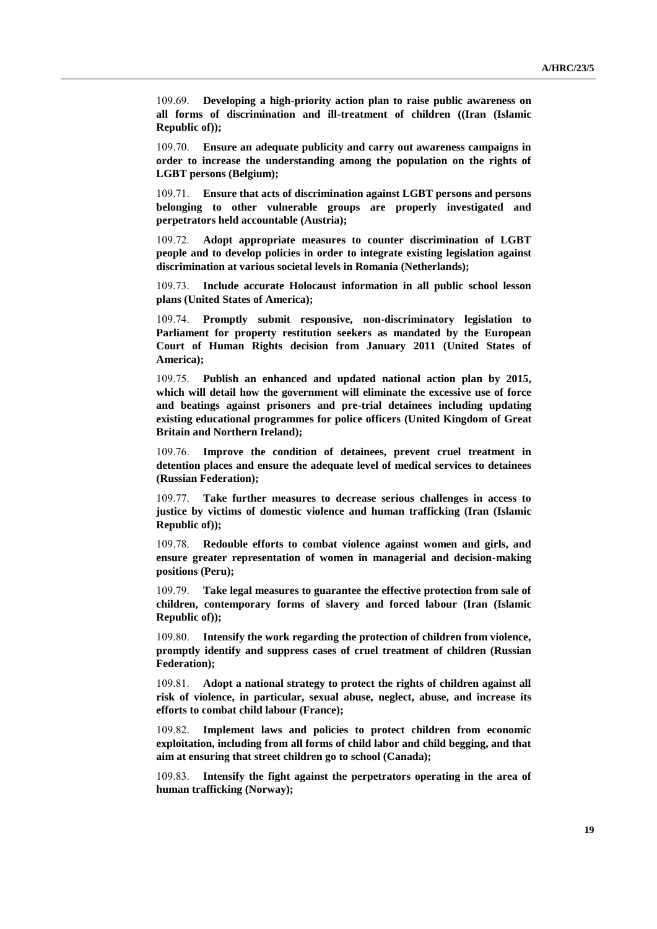109.69. **Developing a high-priority action plan to raise public awareness on all forms of discrimination and ill-treatment of children ((Iran (Islamic Republic of));**

109.70. **Ensure an adequate publicity and carry out awareness campaigns in order to increase the understanding among the population on the rights of LGBT persons (Belgium);**

109.71. **Ensure that acts of discrimination against LGBT persons and persons belonging to other vulnerable groups are properly investigated and perpetrators held accountable (Austria);**

109.72. **Adopt appropriate measures to counter discrimination of LGBT people and to develop policies in order to integrate existing legislation against discrimination at various societal levels in Romania (Netherlands);**

109.73. **Include accurate Holocaust information in all public school lesson plans (United States of America);**

109.74. **Promptly submit responsive, non-discriminatory legislation to Parliament for property restitution seekers as mandated by the European Court of Human Rights decision from January 2011 (United States of America);**

109.75. **Publish an enhanced and updated national action plan by 2015, which will detail how the government will eliminate the excessive use of force and beatings against prisoners and pre-trial detainees including updating existing educational programmes for police officers (United Kingdom of Great Britain and Northern Ireland);**

109.76. **Improve the condition of detainees, prevent cruel treatment in detention places and ensure the adequate level of medical services to detainees (Russian Federation);**

109.77. **Take further measures to decrease serious challenges in access to justice by victims of domestic violence and human trafficking (Iran (Islamic Republic of));**

109.78. **Redouble efforts to combat violence against women and girls, and ensure greater representation of women in managerial and decision-making positions (Peru);**

109.79. **Take legal measures to guarantee the effective protection from sale of children, contemporary forms of slavery and forced labour (Iran (Islamic Republic of));**

109.80. **Intensify the work regarding the protection of children from violence, promptly identify and suppress cases of cruel treatment of children (Russian Federation);**

109.81. **Adopt a national strategy to protect the rights of children against all risk of violence, in particular, sexual abuse, neglect, abuse, and increase its efforts to combat child labour (France);**

109.82. **Implement laws and policies to protect children from economic exploitation, including from all forms of child labor and child begging, and that aim at ensuring that street children go to school (Canada);**

109.83. **Intensify the fight against the perpetrators operating in the area of human trafficking (Norway);**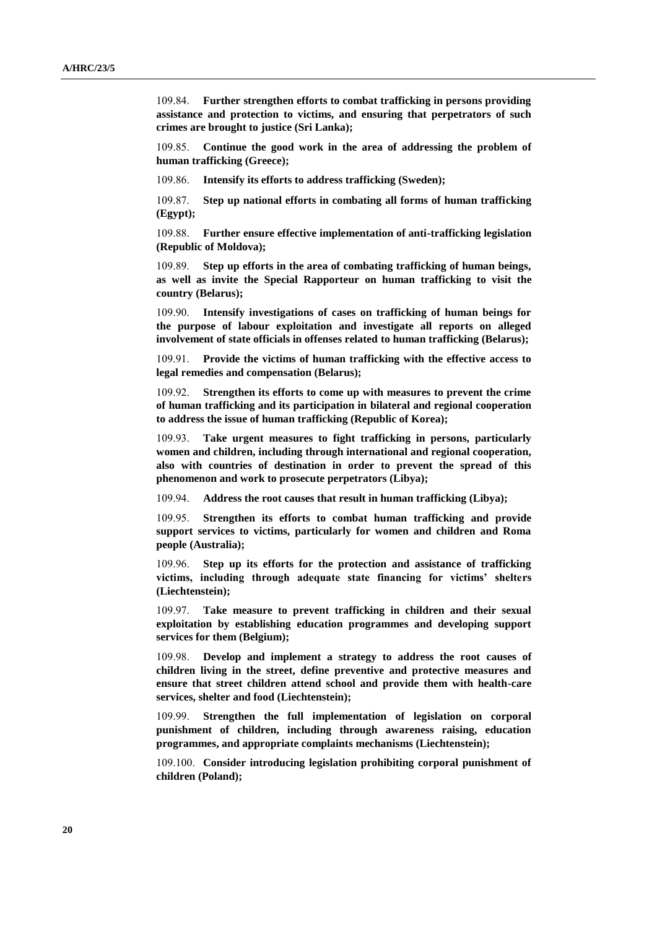109.84. **Further strengthen efforts to combat trafficking in persons providing assistance and protection to victims, and ensuring that perpetrators of such crimes are brought to justice (Sri Lanka);**

109.85. **Continue the good work in the area of addressing the problem of human trafficking (Greece);**

109.86. **Intensify its efforts to address trafficking (Sweden);**

109.87. **Step up national efforts in combating all forms of human trafficking (Egypt);**

109.88. **Further ensure effective implementation of anti-trafficking legislation (Republic of Moldova);**

109.89. **Step up efforts in the area of combating trafficking of human beings, as well as invite the Special Rapporteur on human trafficking to visit the country (Belarus);**

109.90. **Intensify investigations of cases on trafficking of human beings for the purpose of labour exploitation and investigate all reports on alleged involvement of state officials in offenses related to human trafficking (Belarus);**

109.91. **Provide the victims of human trafficking with the effective access to legal remedies and compensation (Belarus);**

109.92. **Strengthen its efforts to come up with measures to prevent the crime of human trafficking and its participation in bilateral and regional cooperation to address the issue of human trafficking (Republic of Korea);**

109.93. **Take urgent measures to fight trafficking in persons, particularly women and children, including through international and regional cooperation, also with countries of destination in order to prevent the spread of this phenomenon and work to prosecute perpetrators (Libya);**

109.94. **Address the root causes that result in human trafficking (Libya);**

109.95. **Strengthen its efforts to combat human trafficking and provide support services to victims, particularly for women and children and Roma people (Australia);**

109.96. **Step up its efforts for the protection and assistance of trafficking victims, including through adequate state financing for victims' shelters (Liechtenstein);**

109.97. **Take measure to prevent trafficking in children and their sexual exploitation by establishing education programmes and developing support services for them (Belgium);**

109.98. **Develop and implement a strategy to address the root causes of children living in the street, define preventive and protective measures and ensure that street children attend school and provide them with health-care services, shelter and food (Liechtenstein);**

109.99. **Strengthen the full implementation of legislation on corporal punishment of children, including through awareness raising, education programmes, and appropriate complaints mechanisms (Liechtenstein);**

109.100. **Consider introducing legislation prohibiting corporal punishment of children (Poland);**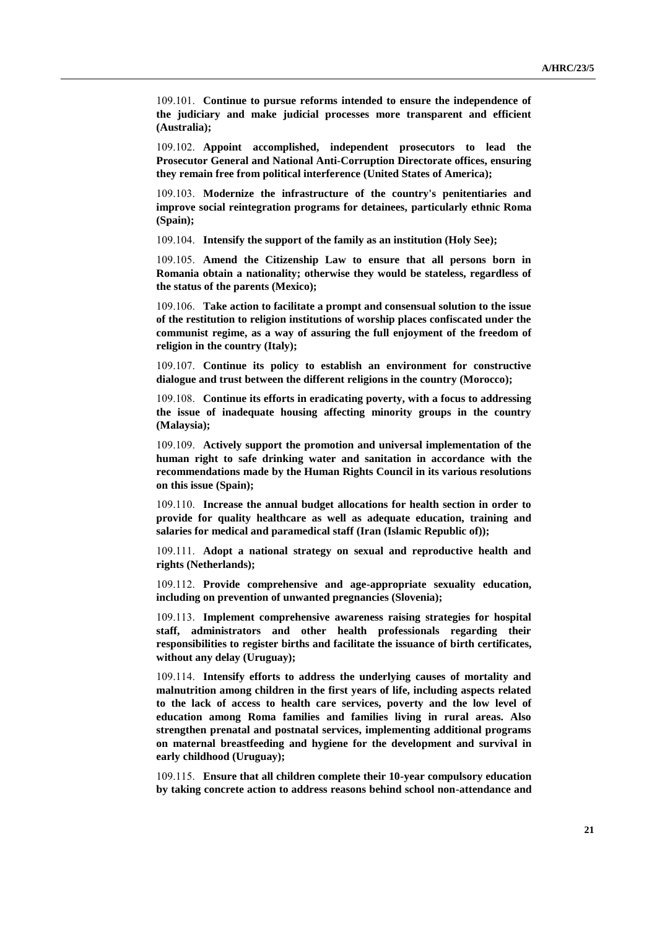109.101. **Continue to pursue reforms intended to ensure the independence of the judiciary and make judicial processes more transparent and efficient (Australia);**

109.102. **Appoint accomplished, independent prosecutors to lead the Prosecutor General and National Anti-Corruption Directorate offices, ensuring they remain free from political interference (United States of America);**

109.103. **Modernize the infrastructure of the country's penitentiaries and improve social reintegration programs for detainees, particularly ethnic Roma (Spain);**

109.104. **Intensify the support of the family as an institution (Holy See);**

109.105. **Amend the Citizenship Law to ensure that all persons born in Romania obtain a nationality; otherwise they would be stateless, regardless of the status of the parents (Mexico);**

109.106. **Take action to facilitate a prompt and consensual solution to the issue of the restitution to religion institutions of worship places confiscated under the communist regime, as a way of assuring the full enjoyment of the freedom of religion in the country (Italy);**

109.107. **Continue its policy to establish an environment for constructive dialogue and trust between the different religions in the country (Morocco);**

109.108. **Continue its efforts in eradicating poverty, with a focus to addressing the issue of inadequate housing affecting minority groups in the country (Malaysia);**

109.109. **Actively support the promotion and universal implementation of the human right to safe drinking water and sanitation in accordance with the recommendations made by the Human Rights Council in its various resolutions on this issue (Spain);**

109.110. **Increase the annual budget allocations for health section in order to provide for quality healthcare as well as adequate education, training and salaries for medical and paramedical staff (Iran (Islamic Republic of));**

109.111. **Adopt a national strategy on sexual and reproductive health and rights (Netherlands);**

109.112. **Provide comprehensive and age-appropriate sexuality education, including on prevention of unwanted pregnancies (Slovenia);**

109.113. **Implement comprehensive awareness raising strategies for hospital staff, administrators and other health professionals regarding their responsibilities to register births and facilitate the issuance of birth certificates, without any delay (Uruguay);**

109.114. **Intensify efforts to address the underlying causes of mortality and malnutrition among children in the first years of life, including aspects related to the lack of access to health care services, poverty and the low level of education among Roma families and families living in rural areas. Also strengthen prenatal and postnatal services, implementing additional programs on maternal breastfeeding and hygiene for the development and survival in early childhood (Uruguay);**

109.115. **Ensure that all children complete their 10-year compulsory education by taking concrete action to address reasons behind school non-attendance and**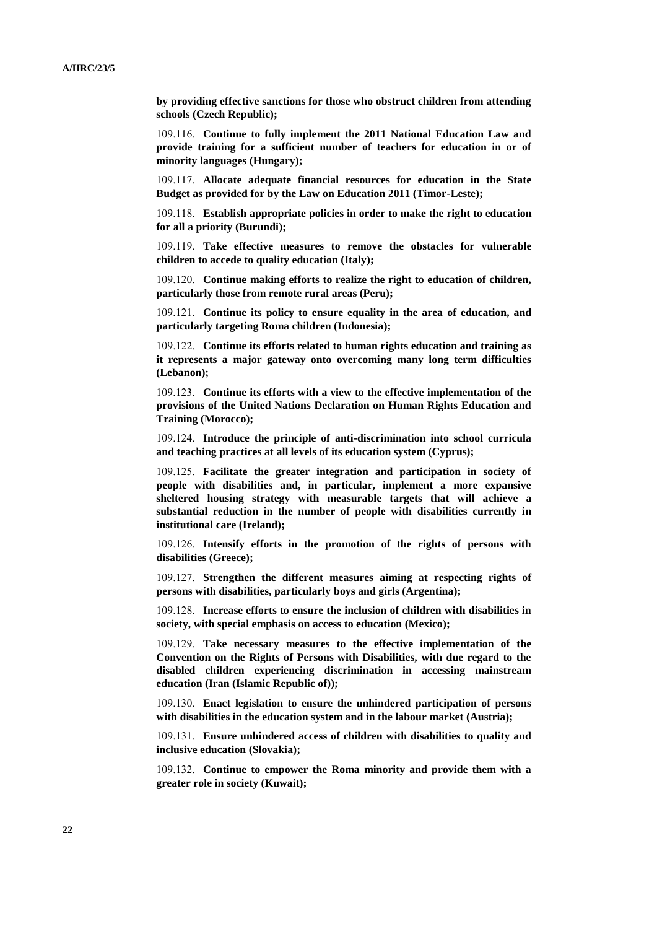**by providing effective sanctions for those who obstruct children from attending schools (Czech Republic);**

109.116. **Continue to fully implement the 2011 National Education Law and provide training for a sufficient number of teachers for education in or of minority languages (Hungary);**

109.117. **Allocate adequate financial resources for education in the State Budget as provided for by the Law on Education 2011 (Timor-Leste);**

109.118. **Establish appropriate policies in order to make the right to education for all a priority (Burundi);**

109.119. **Take effective measures to remove the obstacles for vulnerable children to accede to quality education (Italy);**

109.120. **Continue making efforts to realize the right to education of children, particularly those from remote rural areas (Peru);**

109.121. **Continue its policy to ensure equality in the area of education, and particularly targeting Roma children (Indonesia);**

109.122. **Continue its efforts related to human rights education and training as it represents a major gateway onto overcoming many long term difficulties (Lebanon);**

109.123. **Continue its efforts with a view to the effective implementation of the provisions of the United Nations Declaration on Human Rights Education and Training (Morocco);**

109.124. **Introduce the principle of anti-discrimination into school curricula and teaching practices at all levels of its education system (Cyprus);**

109.125. **Facilitate the greater integration and participation in society of people with disabilities and, in particular, implement a more expansive sheltered housing strategy with measurable targets that will achieve a substantial reduction in the number of people with disabilities currently in institutional care (Ireland);**

109.126. **Intensify efforts in the promotion of the rights of persons with disabilities (Greece);**

109.127. **Strengthen the different measures aiming at respecting rights of persons with disabilities, particularly boys and girls (Argentina);**

109.128. **Increase efforts to ensure the inclusion of children with disabilities in society, with special emphasis on access to education (Mexico);**

109.129. **Take necessary measures to the effective implementation of the Convention on the Rights of Persons with Disabilities, with due regard to the disabled children experiencing discrimination in accessing mainstream education (Iran (Islamic Republic of));**

109.130. **Enact legislation to ensure the unhindered participation of persons with disabilities in the education system and in the labour market (Austria);**

109.131. **Ensure unhindered access of children with disabilities to quality and inclusive education (Slovakia);**

109.132. **Continue to empower the Roma minority and provide them with a greater role in society (Kuwait);**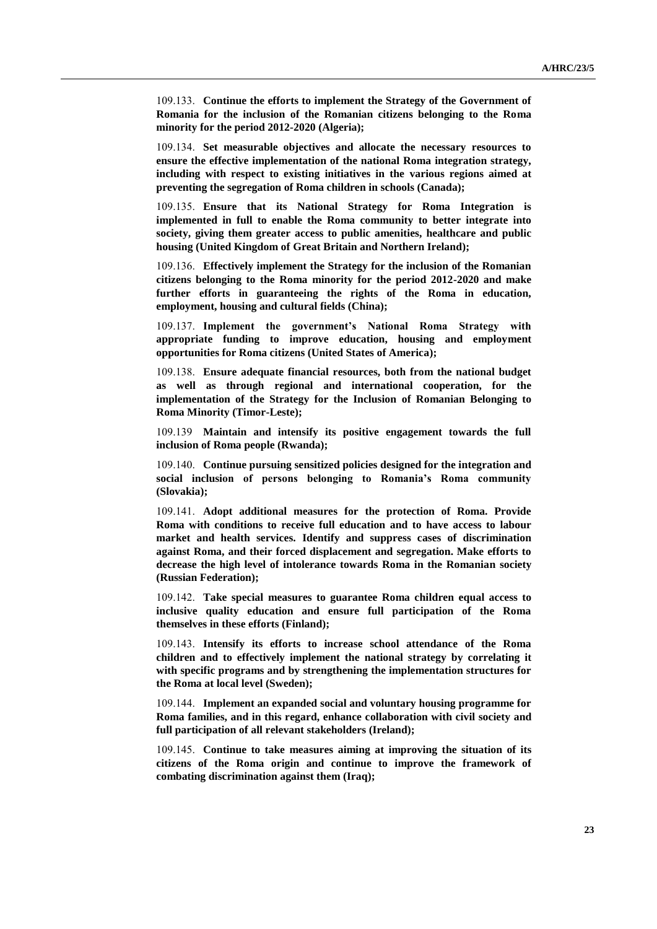109.133. **Continue the efforts to implement the Strategy of the Government of Romania for the inclusion of the Romanian citizens belonging to the Roma minority for the period 2012-2020 (Algeria);**

109.134. **Set measurable objectives and allocate the necessary resources to ensure the effective implementation of the national Roma integration strategy, including with respect to existing initiatives in the various regions aimed at preventing the segregation of Roma children in schools (Canada);**

109.135. **Ensure that its National Strategy for Roma Integration is implemented in full to enable the Roma community to better integrate into society, giving them greater access to public amenities, healthcare and public housing (United Kingdom of Great Britain and Northern Ireland);**

109.136. **Effectively implement the Strategy for the inclusion of the Romanian citizens belonging to the Roma minority for the period 2012-2020 and make further efforts in guaranteeing the rights of the Roma in education, employment, housing and cultural fields (China);**

109.137. **Implement the government's National Roma Strategy with appropriate funding to improve education, housing and employment opportunities for Roma citizens (United States of America);**

109.138. **Ensure adequate financial resources, both from the national budget as well as through regional and international cooperation, for the implementation of the Strategy for the Inclusion of Romanian Belonging to Roma Minority (Timor-Leste);**

109.139 **Maintain and intensify its positive engagement towards the full inclusion of Roma people (Rwanda);**

109.140. **Continue pursuing sensitized policies designed for the integration and social inclusion of persons belonging to Romania's Roma community (Slovakia);**

109.141. **Adopt additional measures for the protection of Roma. Provide Roma with conditions to receive full education and to have access to labour market and health services. Identify and suppress cases of discrimination against Roma, and their forced displacement and segregation. Make efforts to decrease the high level of intolerance towards Roma in the Romanian society (Russian Federation);**

109.142. **Take special measures to guarantee Roma children equal access to inclusive quality education and ensure full participation of the Roma themselves in these efforts (Finland);**

109.143. **Intensify its efforts to increase school attendance of the Roma children and to effectively implement the national strategy by correlating it with specific programs and by strengthening the implementation structures for the Roma at local level (Sweden);**

109.144. **Implement an expanded social and voluntary housing programme for Roma families, and in this regard, enhance collaboration with civil society and full participation of all relevant stakeholders (Ireland);**

109.145. **Continue to take measures aiming at improving the situation of its citizens of the Roma origin and continue to improve the framework of combating discrimination against them (Iraq);**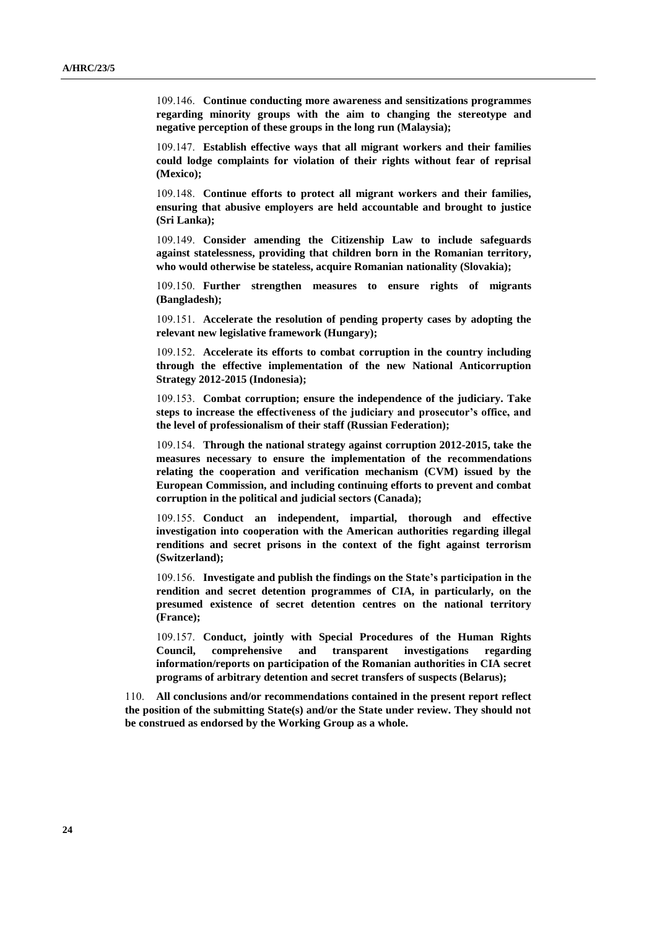109.146. **Continue conducting more awareness and sensitizations programmes regarding minority groups with the aim to changing the stereotype and negative perception of these groups in the long run (Malaysia);**

109.147. **Establish effective ways that all migrant workers and their families could lodge complaints for violation of their rights without fear of reprisal (Mexico);**

109.148. **Continue efforts to protect all migrant workers and their families, ensuring that abusive employers are held accountable and brought to justice (Sri Lanka);**

109.149. **Consider amending the Citizenship Law to include safeguards against statelessness, providing that children born in the Romanian territory, who would otherwise be stateless, acquire Romanian nationality (Slovakia);**

109.150. **Further strengthen measures to ensure rights of migrants (Bangladesh);**

109.151. **Accelerate the resolution of pending property cases by adopting the relevant new legislative framework (Hungary);**

109.152. **Accelerate its efforts to combat corruption in the country including through the effective implementation of the new National Anticorruption Strategy 2012-2015 (Indonesia);**

109.153. **Combat corruption; ensure the independence of the judiciary. Take steps to increase the effectiveness of the judiciary and prosecutor's office, and the level of professionalism of their staff (Russian Federation);**

109.154. **Through the national strategy against corruption 2012-2015, take the measures necessary to ensure the implementation of the recommendations relating the cooperation and verification mechanism (CVM) issued by the European Commission, and including continuing efforts to prevent and combat corruption in the political and judicial sectors (Canada);**

109.155. **Conduct an independent, impartial, thorough and effective investigation into cooperation with the American authorities regarding illegal renditions and secret prisons in the context of the fight against terrorism (Switzerland);**

109.156. **Investigate and publish the findings on the State's participation in the rendition and secret detention programmes of CIA, in particularly, on the presumed existence of secret detention centres on the national territory (France);**

109.157. **Conduct, jointly with Special Procedures of the Human Rights Council, comprehensive and transparent investigations regarding information/reports on participation of the Romanian authorities in CIA secret programs of arbitrary detention and secret transfers of suspects (Belarus);**

110. **All conclusions and/or recommendations contained in the present report reflect the position of the submitting State(s) and/or the State under review. They should not be construed as endorsed by the Working Group as a whole.**